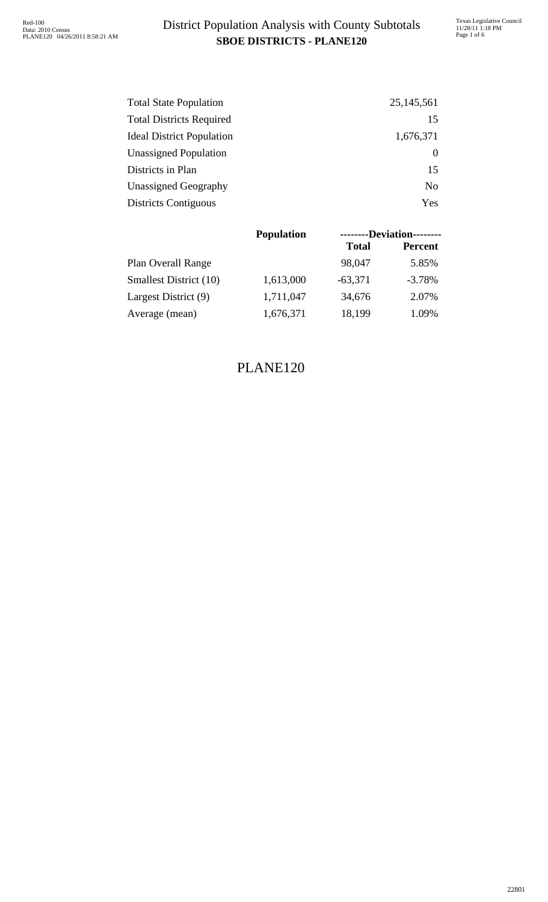### **SBOE DISTRICTS - PLANE120** District Population Analysis with County Subtotals

| <b>Total State Population</b>    | 25, 145, 561   |
|----------------------------------|----------------|
| <b>Total Districts Required</b>  | 15             |
| <b>Ideal District Population</b> | 1,676,371      |
| <b>Unassigned Population</b>     |                |
| Districts in Plan                | 15             |
| <b>Unassigned Geography</b>      | N <sub>0</sub> |
| <b>Districts Contiguous</b>      | Yes            |

|                           | <b>Population</b> |              | --------Deviation-------- |
|---------------------------|-------------------|--------------|---------------------------|
|                           |                   | <b>Total</b> | <b>Percent</b>            |
| <b>Plan Overall Range</b> |                   | 98,047       | 5.85%                     |
| Smallest District (10)    | 1,613,000         | $-63,371$    | $-3.78%$                  |
| Largest District (9)      | 1,711,047         | 34,676       | 2.07%                     |
| Average (mean)            | 1,676,371         | 18,199       | 1.09%                     |

#### PLANE120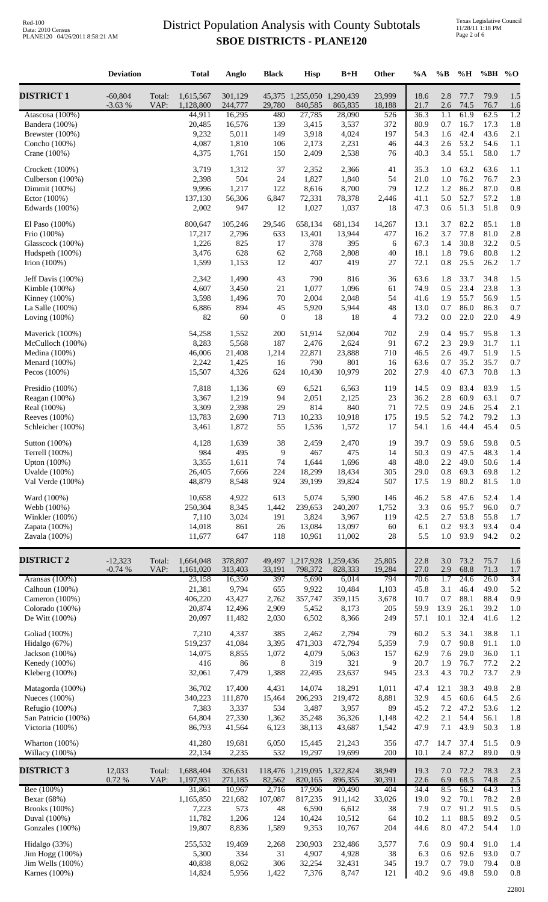|                                        | <b>Deviation</b>      |                | <b>Total</b>           | Anglo              | <b>Black</b>    | <b>Hisp</b>                           | $B+H$             | Other            | $\%A$        | $\%B$          | $\%H$        | %BH          | $\%$ O                  |
|----------------------------------------|-----------------------|----------------|------------------------|--------------------|-----------------|---------------------------------------|-------------------|------------------|--------------|----------------|--------------|--------------|-------------------------|
| <b>DISTRICT 1</b>                      | $-60,804$<br>$-3.63%$ | Total:<br>VAP: | 1,615,567<br>1,128,800 | 301,129<br>244,777 | 29,780          | 45,375 1,255,050 1,290,439<br>840,585 | 865,835           | 23,999<br>18,188 | 18.6<br>21.7 | 2.8<br>2.6     | 77.7<br>74.5 | 79.9<br>76.7 | 1.5<br>1.6              |
| Atascosa $(100\%)$<br>Bandera (100%)   |                       |                | 44,911<br>20,485       | 16,295<br>16,576   | 480<br>139      | 27,785<br>3,415                       | 28,090<br>3,537   | 526<br>372       | 36.3<br>80.9 | 1.1<br>0.7     | 61.9<br>16.7 | 62.5<br>17.3 | $\overline{1.2}$<br>1.8 |
| Brewster (100%)                        |                       |                | 9,232                  | 5,011              | 149             | 3,918                                 | 4,024             | 197              | 54.3         | 1.6            | 42.4         | 43.6         | 2.1                     |
| Concho (100%)<br>Crane $(100\%)$       |                       |                | 4,087<br>4,375         | 1,810<br>1,761     | 106<br>150      | 2,173<br>2,409                        | 2,231<br>2,538    | 46<br>76         | 44.3<br>40.3 | 2.6<br>3.4     | 53.2<br>55.1 | 54.6<br>58.0 | 1.1<br>1.7              |
| Crockett (100%)                        |                       |                | 3,719                  | 1,312              | 37              | 2,352                                 | 2,366             | 41               | 35.3         | 1.0            | 63.2         | 63.6         | 1.1                     |
| Culberson (100%)<br>Dimmit (100%)      |                       |                | 2,398<br>9,996         | 504<br>1,217       | 24<br>122       | 1,827<br>8,616                        | 1,840<br>8,700    | 54<br>79         | 21.0<br>12.2 | 1.0<br>1.2     | 76.2<br>86.2 | 76.7<br>87.0 | 2.3<br>0.8              |
| Ector (100%)                           |                       |                | 137,130                | 56,306             | 6,847           | 72,331                                | 78,378            | 2,446            | 41.1         | 5.0            | 52.7         | 57.2         | 1.8                     |
| Edwards (100%)                         |                       |                | 2,002                  | 947                | 12              | 1,027                                 | 1,037             | 18               | 47.3         | 0.6            | 51.3         | 51.8         | 0.9                     |
| El Paso (100%)<br>Frio (100%)          |                       |                | 800,647<br>17,217      | 105,246<br>2,796   | 29,546<br>633   | 658,134<br>13,401                     | 681,134<br>13,944 | 14,267<br>477    | 13.1<br>16.2 | 3.7<br>3.7     | 82.2<br>77.8 | 85.1<br>81.0 | 1.8<br>2.8              |
| Glasscock (100%)                       |                       |                | 1,226                  | 825                | 17              | 378                                   | 395               | 6                | 67.3         | 1.4            | 30.8         | 32.2         | 0.5                     |
| Hudspeth (100%)<br>Irion $(100\%)$     |                       |                | 3,476<br>1,599         | 628<br>1,153       | 62<br>12        | 2,768<br>407                          | 2,808<br>419      | 40<br>27         | 18.1<br>72.1 | 1.8<br>$0.8\,$ | 79.6<br>25.5 | 80.8<br>26.2 | 1.2<br>1.7              |
| Jeff Davis (100%)                      |                       |                | 2,342                  | 1,490              | 43              | 790                                   | 816               | 36               | 63.6         | 1.8            | 33.7         | 34.8         | 1.5                     |
| Kimble $(100%)$                        |                       |                | 4,607                  | 3,450              | $21\,$          | 1,077                                 | 1,096             | 61               | 74.9         | 0.5            | 23.4         | 23.8         | 1.3                     |
| Kinney $(100\%)$<br>La Salle (100%)    |                       |                | 3,598<br>6,886         | 1,496<br>894       | 70<br>45        | 2,004<br>5,920                        | 2,048<br>5,944    | 54<br>48         | 41.6<br>13.0 | 1.9<br>0.7     | 55.7<br>86.0 | 56.9<br>86.3 | 1.5<br>0.7              |
| Loving $(100\%)$                       |                       |                | 82                     | 60                 | $\mathbf{0}$    | 18                                    | 18                | $\overline{4}$   | 73.2         | $0.0\,$        | 22.0         | 22.0         | 4.9                     |
| Maverick (100%)                        |                       |                | 54,258                 | 1,552              | 200             | 51,914                                | 52,004            | 702              | 2.9          | 0.4            | 95.7         | 95.8         | 1.3                     |
| McCulloch (100%)<br>Medina $(100%)$    |                       |                | 8,283<br>46,006        | 5,568<br>21,408    | 187<br>1,214    | 2,476<br>22,871                       | 2,624<br>23,888   | 91<br>710        | 67.2<br>46.5 | 2.3<br>2.6     | 29.9<br>49.7 | 31.7<br>51.9 | 1.1<br>1.5              |
| Menard $(100\%)$                       |                       |                | 2,242                  | 1,425              | 16              | 790                                   | 801               | 16               | 63.6         | 0.7            | 35.2         | 35.7         | 0.7                     |
| Pecos $(100\%)$                        |                       |                | 15,507                 | 4,326              | 624             | 10,430                                | 10,979            | 202              | 27.9         | 4.0            | 67.3         | 70.8         | 1.3                     |
| Presidio (100%)<br>Reagan (100%)       |                       |                | 7,818<br>3,367         | 1,136<br>1,219     | 69<br>94        | 6,521<br>2,051                        | 6,563<br>2,125    | 119<br>$23\,$    | 14.5<br>36.2 | 0.9<br>2.8     | 83.4<br>60.9 | 83.9<br>63.1 | 1.5<br>0.7              |
| Real (100%)                            |                       |                | 3,309                  | 2,398              | 29              | 814                                   | 840               | 71               | 72.5         | 0.9            | 24.6         | 25.4         | 2.1                     |
| Reeves (100%)<br>Schleicher (100%)     |                       |                | 13,783<br>3,461        | 2,690<br>1,872     | 713<br>55       | 10,233<br>1,536                       | 10,918<br>1,572   | 175<br>17        | 19.5<br>54.1 | 5.2<br>1.6     | 74.2<br>44.4 | 79.2<br>45.4 | 1.3<br>0.5              |
| Sutton (100%)                          |                       |                | 4,128                  | 1,639              | 38              | 2,459                                 | 2,470             | 19               | 39.7         | 0.9            | 59.6         | 59.8         | 0.5                     |
| Terrell (100%)                         |                       |                | 984<br>3,355           | 495                | 9<br>74         | 467                                   | 475               | 14<br>48         | 50.3         | 0.9<br>$2.2\,$ | 47.5<br>49.0 | 48.3<br>50.6 | 1.4                     |
| Upton $(100%)$<br>Uvalde (100%)        |                       |                | 26,405                 | 1,611<br>7,666     | 224             | 1,644<br>18,299                       | 1,696<br>18,434   | 305              | 48.0<br>29.0 | 0.8            | 69.3         | 69.8         | 1.4<br>1.2              |
| Val Verde (100%)                       |                       |                | 48,879                 | 8,548              | 924             | 39,199                                | 39,824            | 507              | 17.5         | 1.9            | 80.2         | 81.5         | 1.0                     |
| Ward (100%)                            |                       |                | 10,658                 | 4,922              | 613             | 5,074                                 | 5,590             | 146              | 46.2         | 5.8            | 47.6         | 52.4         | 1.4                     |
| Webb (100%)<br>Winkler $(100%)$        |                       |                | 250,304<br>7,110       | 8,345<br>3,024     | 1,442<br>191    | 239,653<br>3,824                      | 240,207<br>3,967  | 1,752<br>119     | 3.3<br>42.5  | 0.6<br>2.7     | 95.7<br>53.8 | 96.0<br>55.8 | 0.7<br>1.7              |
| Zapata (100%)                          |                       |                | 14,018                 | 861                | 26              | 13,084                                | 13,097            | 60               | 6.1          | 0.2            | 93.3         | 93.4         | 0.4                     |
| Zavala (100%)                          |                       |                | 11,677                 | 647                | 118             | 10,961                                | 11,002            | $28\,$           | 5.5          | 1.0            | 93.9         | 94.2         | 0.2                     |
| <b>DISTRICT 2</b>                      | $-12,323$<br>$-0.74%$ | Total:<br>VAP: | 1,664,048<br>1,161,020 | 378,807<br>313,403 | 33,191          | 49,497 1,217,928 1,259,436<br>798,372 | 828,333           | 25,805<br>19,284 | 22.8<br>27.0 | 3.0<br>2.9     | 73.2<br>68.8 | 75.7<br>71.3 | 1.6<br>1.7              |
| Aransas (100%)                         |                       |                | 23,158                 | 16,350             | 397             | 5,690                                 | 6,014             | 794              | 70.6         | 1.7            | 24.6         | 26.0         | 3.4                     |
| Calhoun $(100%)$<br>Cameron (100%)     |                       |                | 21,381<br>406,220      | 9,794<br>43,427    | 655<br>2,762    | 9,922<br>357,747                      | 10,484<br>359,115 | 1,103<br>3,678   | 45.8<br>10.7 | 3.1<br>0.7     | 46.4<br>88.1 | 49.0<br>88.4 | 5.2<br>0.9              |
| Colorado (100%)                        |                       |                | 20,874                 | 12,496             | 2,909           | 5,452                                 | 8,173             | 205              | 59.9         | 13.9           | 26.1         | 39.2         | 1.0                     |
| De Witt (100%)                         |                       |                | 20,097                 | 11,482             | 2,030           | 6,502                                 | 8,366             | 249              | 57.1         | 10.1           | 32.4         | 41.6         | 1.2                     |
| Goliad (100%)<br>Hidalgo (67%)         |                       |                | 7,210<br>519,237       | 4,337<br>41,084    | 385<br>3,395    | 2,462<br>471,303                      | 2,794<br>472,794  | 79<br>5,359      | 60.2<br>7.9  | 5.3<br>0.7     | 34.1<br>90.8 | 38.8<br>91.1 | 1.1<br>1.0              |
| Jackson $(100%)$                       |                       |                | 14,075                 | 8,855              | 1,072           | 4,079                                 | 5,063             | 157              | 62.9         | 7.6            | 29.0         | 36.0         | 1.1                     |
| Kenedy (100%)                          |                       |                | 416                    | 86                 | 8               | 319                                   | 321               | 9                | 20.7         | 1.9            | 76.7         | 77.2         | 2.2                     |
| Kleberg (100%)<br>Matagorda (100%)     |                       |                | 32,061<br>36,702       | 7,479<br>17,400    | 1,388<br>4,431  | 22,495<br>14,074                      | 23,637<br>18,291  | 945<br>1,011     | 23.3<br>47.4 | 4.3<br>12.1    | 70.2<br>38.3 | 73.7<br>49.8 | 2.9<br>2.8              |
| Nueces $(100\%)$                       |                       |                | 340,223                | 111,870            | 15,464          | 206,293                               | 219,472           | 8,881            | 32.9         | 4.5            | 60.6         | 64.5         | 2.6                     |
| Refugio (100%)                         |                       |                | 7,383                  | 3,337              | 534             | 3,487                                 | 3,957             | 89               | 45.2         | 7.2            | 47.2         | 53.6         | 1.2                     |
| San Patricio (100%)<br>Victoria (100%) |                       |                | 64,804<br>86,793       | 27,330<br>41,564   | 1,362<br>6,123  | 35,248<br>38,113                      | 36,326<br>43,687  | 1,148<br>1,542   | 42.2<br>47.9 | 2.1<br>7.1     | 54.4<br>43.9 | 56.1<br>50.3 | 1.8<br>1.8              |
| Wharton $(100%)$<br>Willacy (100%)     |                       |                | 41,280<br>22,134       | 19,681<br>2,235    | 6,050<br>532    | 15,445<br>19,297                      | 21,243<br>19,699  | 356<br>200       | 47.7<br>10.1 | 14.7<br>2.4    | 37.4<br>87.2 | 51.5<br>89.0 | 0.9<br>0.9              |
| <b>DISTRICT 3</b>                      | 12,033                | Total:         | 1,688,404              | 326,631            |                 | 118,476 1,219,095 1,322,824           |                   | 38,949           | 19.3         | 7.0            | 72.2         | 78.3         | 2.3                     |
| Bee (100%)                             | 0.72%                 | VAP:           | 1,197,931<br>31,861    | 271,185<br>10,967  | 82,562<br>2,716 | 820,165<br>17,906                     | 896,355<br>20,490 | 30,391<br>404    | 22.6<br>34.4 | 6.9<br>8.5     | 68.5<br>56.2 | 74.8<br>64.3 | 2.5<br>1.3              |
| Bexar (68%)                            |                       |                | 1,165,850              | 221,682            | 107,087         | 817,235                               | 911,142           | 33,026           | 19.0         | 9.2            | 70.1         | 78.2         | 2.8                     |
| Brooks (100%)<br>Duval (100%)          |                       |                | 7,223<br>11,782        | 573<br>1,206       | 48<br>124       | 6,590<br>10,424                       | 6,612<br>10,512   | 38<br>64         | 7.9<br>10.2  | 0.7<br>1.1     | 91.2<br>88.5 | 91.5<br>89.2 | 0.5<br>0.5              |
| Gonzales (100%)                        |                       |                | 19,807                 | 8,836              | 1,589           | 9,353                                 | 10,767            | 204              | 44.6         | 8.0            | 47.2         | 54.4         | 1.0                     |
| Hidalgo (33%)                          |                       |                | 255,532                | 19,469             | 2,268           | 230,903                               | 232,486           | 3,577            | 7.6          | 0.9            | 90.4         | 91.0         | 1.4                     |
| Jim Hogg (100%)<br>Jim Wells (100%)    |                       |                | 5,300<br>40,838        | 334<br>8,062       | 31<br>306       | 4,907<br>32,254                       | 4,928<br>32,431   | 38<br>345        | 6.3<br>19.7  | 0.6<br>0.7     | 92.6<br>79.0 | 93.0<br>79.4 | 0.7<br>0.8              |
| Karnes (100%)                          |                       |                | 14,824                 | 5,956              | 1,422           | 7,376                                 | 8,747             | 121              | 40.2         |                | 9.6 49.8     | 59.0         | 0.8                     |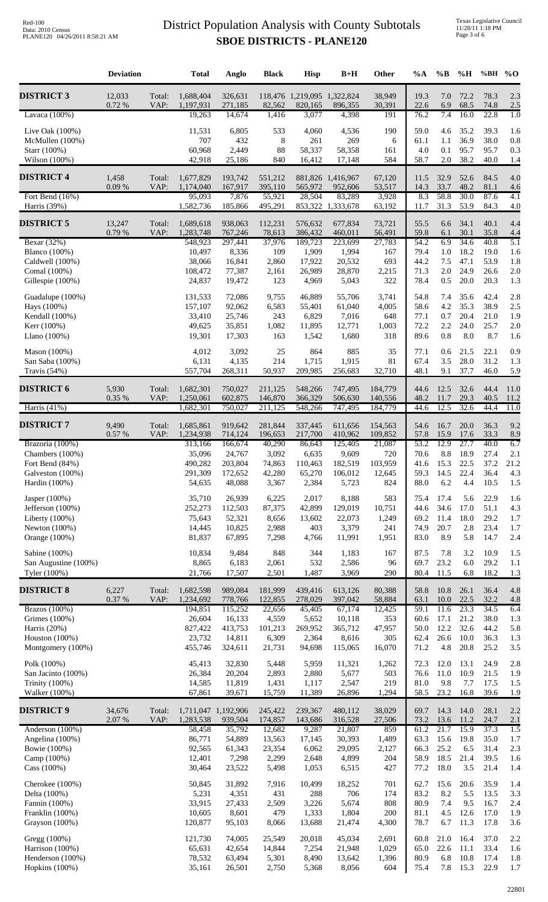|                                         | <b>Deviation</b> |                | <b>Total</b>           | Anglo              | <b>Black</b>       | <b>Hisp</b>        | $B+H$                                  | <b>Other</b>       | $\%A$        | $\%B$            | %H           | %BH % $O$          |              |
|-----------------------------------------|------------------|----------------|------------------------|--------------------|--------------------|--------------------|----------------------------------------|--------------------|--------------|------------------|--------------|--------------------|--------------|
| <b>DISTRICT 3</b>                       | 12,033<br>0.72 % | Total:<br>VAP: | 1,688,404<br>1,197,931 | 326,631<br>271,185 | 82,562             | 820,165            | 118,476 1,219,095 1,322,824<br>896,355 | 38,949<br>30,391   | 19.3<br>22.6 | 7.0<br>6.9       | 72.2<br>68.5 | 78.3<br>74.8       | 2.3<br>2.5   |
| Lavaca $(100\%)$                        |                  |                | 19,263                 | 14,674             | 1,416              | 3,077              | 4,398                                  | 191                | 76.2         | 7.4              | 16.0         | 22.8               | 1.0          |
| Live Oak $(100\%)$                      |                  |                | 11,531                 | 6,805              | 533                | 4,060              | 4,536                                  | 190                | 59.0         | 4.6              | 35.2         | 39.3               | 1.6          |
| McMullen (100%)<br>Starr (100%)         |                  |                | 707<br>60,968          | 432<br>2,449       | 8<br>88            | 261<br>58,337      | 269<br>58,358                          | 6<br>161           | 61.1<br>4.0  | 1.1<br>0.1       | 36.9<br>95.7 | 38.0<br>95.7       | 0.8<br>0.3   |
| Wilson (100%)                           |                  |                | 42,918                 | 25,186             | 840                | 16,412             | 17,148                                 | 584                | 58.7         | $2.0\,$          | 38.2         | 40.0               | 1.4          |
| <b>DISTRICT 4</b>                       | 1,458<br>0.09%   | Total:<br>VAP: | 1,677,829<br>1,174,040 | 193,742<br>167,917 | 551,212<br>395,110 | 565,972            | 881,826 1,416,967<br>952,606           | 67,120<br>53,517   | 11.5<br>14.3 | 32.9<br>33.7     | 52.6<br>48.2 | 84.5<br>81.1       | 4.0<br>4.6   |
| Fort Bend $(16\%)$<br>Harris $(39%)$    |                  |                | 95,093<br>1,582,736    | 7,876<br>185,866   | 55,921<br>495,291  | 28,504             | 83,289<br>853,322 1,333,678            | 3,928<br>63,192    | 8.3<br>11.7  | 58.8<br>31.3     | 30.0<br>53.9 | 87.6<br>84.3       | 4.1<br>4.0   |
|                                         |                  |                |                        |                    |                    |                    |                                        |                    |              |                  |              |                    |              |
| <b>DISTRICT 5</b>                       | 13,247<br>0.79%  | Total:<br>VAP: | 1,689,618<br>1,283,748 | 938,063<br>767,246 | 112,231<br>78,613  | 576,632<br>386,432 | 677,834<br>460,011                     | 73,721<br>56,491   | 55.5<br>59.8 | 6.6<br>6.1       | 34.1<br>30.1 | 40.1<br>35.8       | 4.4<br>4.4   |
| Bexar (32%)                             |                  |                | 548,923                | 297,441            | 37,976             | 189,723            | 223,699                                | 27,783             | 54.2         | 6.9              | 34.6         | 40.8               | 5.1          |
| <b>Blanco</b> (100%)<br>Caldwell (100%) |                  |                | 10,497<br>38,066       | 8,336<br>16,841    | 109<br>2,860       | 1,909<br>17,922    | 1,994<br>20,532                        | 167<br>693         | 79.4<br>44.2 | $1.0\,$<br>7.5   | 18.2<br>47.1 | 19.0<br>53.9       | 1.6<br>1.8   |
| Comal (100%)                            |                  |                | 108,472                | 77,387             | 2,161              | 26,989             | 28,870                                 | 2,215              | 71.3         | 2.0              | 24.9         | 26.6               | 2.0          |
| Gillespie (100%)                        |                  |                | 24,837                 | 19,472             | 123                | 4,969              | 5,043                                  | 322                | 78.4         | 0.5              | 20.0         | 20.3               | 1.3          |
| Guadalupe (100%)                        |                  |                | 131,533                | 72,086             | 9,755              | 46,889             | 55,706                                 | 3,741              | 54.8         | 7.4              | 35.6         | 42.4               | 2.8          |
| Hays (100%)<br>Kendall (100%)           |                  |                | 157,107<br>33,410      | 92,062<br>25,746   | 6,583<br>243       | 55,401<br>6,829    | 61,040<br>7,016                        | 4,005<br>648       | 58.6<br>77.1 | 4.2<br>0.7       | 35.3<br>20.4 | 38.9<br>21.0       | 2.5<br>1.9   |
| Kerr (100%)                             |                  |                | 49,625                 | 35,851             | 1,082              | 11,895             | 12,771                                 | 1,003              | 72.2         | 2.2              | 24.0         | 25.7               | 2.0          |
| Llano $(100\%)$                         |                  |                | 19,301                 | 17,303             | 163                | 1,542              | 1,680                                  | 318                | 89.6         | $0.8\,$          | 8.0          | 8.7                | 1.6          |
| Mason (100%)                            |                  |                | 4,012                  | 3,092              | 25                 | 864                | 885                                    | 35                 | 77.1         | 0.6              | 21.5         | 22.1               | 0.9          |
| San Saba (100%)<br>Travis $(54%)$       |                  |                | 6,131<br>557,704       | 4,135<br>268,311   | 214<br>50,937      | 1,715<br>209,985   | 1,915<br>256,683                       | 81<br>32,710       | 67.4<br>48.1 | 3.5<br>9.1       | 28.0<br>37.7 | 31.2<br>46.0       | 1.3<br>5.9   |
|                                         |                  |                |                        |                    |                    |                    |                                        |                    |              |                  |              |                    |              |
| <b>DISTRICT 6</b>                       | 5,930<br>0.35 %  | Total:<br>VAP: | 1,682,301<br>1,250,061 | 750,027<br>602,875 | 211,125<br>146,870 | 548,266<br>366,329 | 747,495<br>506,630                     | 184,779<br>140,556 | 44.6<br>48.2 | 12.5<br>11.7     | 32.6<br>29.3 | 44.4<br>40.5       | 11.0<br>11.2 |
| Harris $(41%)$                          |                  |                | 1,682,301              | 750,027            | 211,125            | 548,266            | 747,495                                | 184,779            | 44.6         | 12.5             | 32.6         | 44.4               | 11.0         |
| <b>DISTRICT 7</b>                       | 9,490<br>0.57 %  | Total:<br>VAP: | 1,685,861<br>1,234,938 | 919,642<br>714,124 | 281,844<br>196,653 | 337,445<br>217,700 | 611,656<br>410,962                     | 154,563<br>109,852 | 54.6<br>57.8 | 16.7<br>15.9     | 20.0<br>17.6 | 36.3<br>33.3       | 9.2<br>8.9   |
| Brazoria (100%)                         |                  |                | 313,166                | 166,674            | 40,290             | 86,643             | 125,405                                | 21,087             | 53.2         | 12.9             | 27.7         | 40.0               | 6.7          |
| Chambers (100%)                         |                  |                | 35,096                 | 24,767             | 3,092              | 6,635              | 9,609                                  | 720                | 70.6         | $8.8\,$          | 18.9         | 27.4               | 2.1          |
| Fort Bend (84%)<br>Galveston (100%)     |                  |                | 490,282<br>291,309     | 203,804<br>172,652 | 74,863<br>42,280   | 110,463<br>65,270  | 182,519<br>106,012                     | 103,959<br>12,645  | 41.6<br>59.3 | 15.3<br>14.5     | 22.5<br>22.4 | 37.2<br>36.4       | 21.2<br>4.3  |
| Hardin (100%)                           |                  |                | 54,635                 | 48,088             | 3,367              | 2,384              | 5,723                                  | 824                | 88.0         | 6.2              | 4.4          | 10.5               | 1.5          |
| Jasper (100%)                           |                  |                | 35,710                 | 26,939             | 6,225              | 2,017              | 8,188                                  | 583                | 75.4         | 17.4             | 5.6          | 22.9               | 1.6          |
| Jefferson (100%)                        |                  |                | 252,273                | 112,503            | 87,375             | 42,899             | 129,019                                | 10,751             | 44.6         | 34.6             | 17.0         | 51.1               | 4.3          |
| Liberty $(100\%)$<br>Newton $(100%)$    |                  |                | 75,643<br>14,445       | 52,321<br>10,825   | 8,656<br>2,988     | 13,602<br>403      | 22,073<br>3,379                        | 1,249<br>241       | 69.2<br>74.9 | 11.4<br>20.7     | 18.0<br>2.8  | 29.2<br>23.4       | 1.7<br>1.7   |
| Orange (100%)                           |                  |                | 81,837                 | 67,895             | 7,298              | 4,766              | 11,991                                 | 1,951              | 83.0         | 8.9              | 5.8          | 14.7               | 2.4          |
| Sabine (100%)                           |                  |                | 10,834                 | 9,484              | 848                | 344                | 1,183                                  | 167                | 87.5         | 7.8              | 3.2          | 10.9               | 1.5          |
| San Augustine (100%)                    |                  |                | 8,865                  | 6,183              | 2,061              | 532                | 2,586                                  | 96                 | 69.7         | 23.2             | 6.0          | 29.2               | 1.1          |
| Tyler (100%)                            |                  |                | 21,766                 | 17,507             | 2,501              | 1,487              | 3,969                                  | 290                | 80.4         | 11.5             | 6.8          | 18.2               | 1.3          |
| <b>DISTRICT 8</b>                       | 6,227<br>0.37 %  | Total:<br>VAP: | 1,682,598<br>1,234,692 | 989,084<br>778,766 | 181,999<br>122,855 | 439,416<br>278,029 | 613,126<br>397,042                     | 80,388<br>58,884   | 58.8<br>63.1 | 10.8<br>$10.0\,$ | 26.1<br>22.5 | 36.4<br>32.2       | 4.8<br>4.8   |
| Brazos $(100\%)$<br>Grimes (100%)       |                  |                | 194,851<br>26,604      | 115,252<br>16,133  | 22,656<br>4,559    | 45,405<br>5,652    | 67,174<br>10,118                       | 12,425<br>353      | 59.1<br>60.6 | 11.6<br>17.1     | 23.3<br>21.2 | 34.5<br>38.0       | 6.4<br>1.3   |
| Harris $(20%)$                          |                  |                | 827,422                | 413,753            | 101,213            | 269,952            | 365,712                                | 47,957             | 50.0         | 12.2             | 32.6         | 44.2               | 5.8          |
| Houston $(100%)$                        |                  |                | 23,732                 | 14,811             | 6,309              | 2,364              | 8,616                                  | 305                | 62.4         | 26.6             | 10.0         | 36.3               | 1.3          |
| Montgomery (100%)                       |                  |                | 455,746                | 324,611            | 21,731             | 94,698             | 115,065                                | 16,070             | 71.2         | 4.8              | 20.8         | 25.2               | 3.5          |
| Polk (100%)<br>San Jacinto (100%)       |                  |                | 45,413<br>26,384       | 32,830<br>20,204   | 5,448<br>2,893     | 5,959<br>2,880     | 11,321<br>5,677                        | 1,262<br>503       | 72.3<br>76.6 | 12.0<br>11.0     | 13.1<br>10.9 | 24.9<br>21.5       | 2.8<br>1.9   |
| <b>Trinity</b> (100%)                   |                  |                | 14,585                 | 11,819             | 1,431              | 1,117              | 2,547                                  | 219                | 81.0         | 9.8              | 7.7          | 17.5               | 1.5          |
| Walker (100%)                           |                  |                | 67,861                 | 39,671             | 15,759             | 11,389             | 26,896                                 | 1,294              | 58.5         | 23.2             | 16.8         | 39.6               | 1.9          |
| <b>DISTRICT 9</b>                       | 34,676           | Total:         | 1,711,047 1,192,906    |                    | 245,422            | 239,367            | 480,112                                | 38,029             | 69.7         | 14.3             | 14.0         | 28.1               | 2.2          |
| Anderson (100%)                         | 2.07 %           | VAP:           | 1,283,538<br>58,458    | 939,504<br>35,792  | 174,857<br>12,682  | 143,686<br>9,287   | 316,528<br>21,807                      | 27,506<br>859      | 73.2<br>61.2 | 13.6<br>21.7     | 11.2<br>15.9 | 24.7<br>37.3       | 2.1<br>1.5   |
| Angelina (100%)                         |                  |                | 86,771                 | 54,889             | 13,563             | 17,145             | 30,393                                 | 1,489              | 63.3         | 15.6             | 19.8         | 35.0               | 1.7          |
| Bowie (100%)                            |                  |                | 92,565                 | 61,343             | 23,354             | 6,062              | 29,095                                 | 2,127              | 66.3         | 25.2             | 6.5          | 31.4               | 2.3          |
| Camp (100%)<br>Cass (100%)              |                  |                | 12,401<br>30,464       | 7,298<br>23,522    | 2,299<br>5,498     | 2,648<br>1,053     | 4,899<br>6,515                         | 204<br>427         | 58.9<br>77.2 | 18.5<br>18.0     | 21.4<br>3.5  | 39.5<br>21.4       | 1.6<br>1.4   |
| Cherokee (100%)                         |                  |                | 50,845                 | 31,892             | 7,916              | 10,499             | 18,252                                 | 701                | 62.7         | 15.6             | 20.6         | 35.9               | 1.4          |
| Delta (100%)                            |                  |                | 5,231                  | 4,351              | 431                | 288                | 706                                    | 174                | 83.2         | 8.2              | 5.5          | 13.5               | 3.3          |
| Fannin (100%)                           |                  |                | 33,915                 | 27,433             | 2,509              | 3,226              | 5,674                                  | 808                | 80.9         | 7.4              | 9.5          | 16.7               | 2.4          |
| Franklin (100%)<br>Grayson (100%)       |                  |                | 10,605<br>120,877      | 8,601<br>95,103    | 479<br>8,066       | 1,333<br>13,688    | 1,804<br>21,474                        | 200<br>4,300       | 81.1<br>78.7 | 4.5<br>6.7       | 12.6<br>11.3 | 17.0<br>17.8       | 1.9<br>3.6   |
| Gregg (100%)                            |                  |                | 121,730                | 74,005             | 25,549             | 20,018             | 45,034                                 | 2,691              | 60.8         | 21.0             | 16.4         | 37.0               | 2.2          |
| Harrison (100%)                         |                  |                | 65,631                 | 42,654             | 14,844             | 7,254              | 21,948                                 | 1,029              | 65.0         | 22.6             | 11.1         | 33.4               | 1.6          |
| Henderson (100%)                        |                  |                | 78,532                 | 63,494             | 5,301              | 8,490              | 13,642                                 | 1,396              | 80.9         | 6.8              | 10.8         | 17.4               | 1.8          |
| Hopkins (100%)                          |                  |                | 35,161                 | 26,501             | 2,750              | 5,368              | 8,056                                  | 604                |              |                  |              | 75.4 7.8 15.3 22.9 | 1.7          |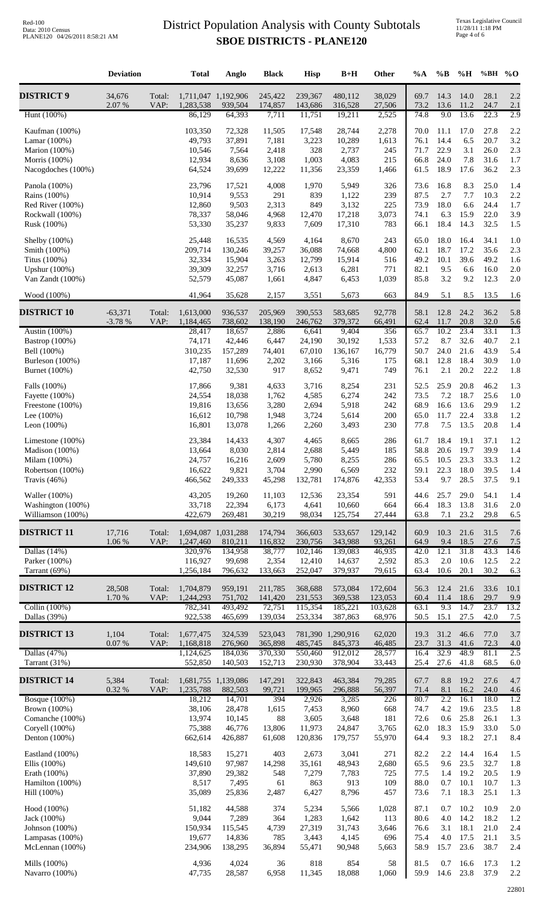|                                        | <b>Deviation</b>      |                | <b>Total</b>                     | Anglo              | <b>Black</b>       | <b>Hisp</b>        | $B+H$              | Other              | $\%A$        | %B                    | %H           | %BH % $O$    |             |
|----------------------------------------|-----------------------|----------------|----------------------------------|--------------------|--------------------|--------------------|--------------------|--------------------|--------------|-----------------------|--------------|--------------|-------------|
| <b>DISTRICT 9</b>                      | 34,676<br>2.07 %      | Total:<br>VAP: | 1,711,047 1,192,906<br>1,283,538 | 939,504            | 245,422<br>174,857 | 239,367<br>143,686 | 480,112<br>316,528 | 38,029<br>27,506   | 69.7<br>73.2 | 14.3<br>13.6          | 14.0<br>11.2 | 28.1<br>24.7 | 2.2<br>2.1  |
| Hunt (100%)                            |                       |                | 86,129                           | 64,393             | 7,711              | 11,751             | 19,211             | 2,525              | 74.8         | 9.0                   | 13.6         | 22.3         | 2.9         |
| Kaufman (100%)                         |                       |                | 103,350                          | 72,328             | 11,505             | 17,548             | 28,744             | 2,278              | 70.0         | 11.1                  | 17.0         | 27.8         | 2.2         |
| Lamar $(100\%)$                        |                       |                | 49,793                           | 37,891             | 7,181              | 3,223              | 10,289             | 1,613              | 76.1         | 14.4                  | 6.5          | 20.7         | 3.2         |
| Marion (100%)                          |                       |                | 10,546                           | 7,564              | 2,418              | 328                | 2,737              | 245                | 71.7         | 22.9                  | 3.1          | 26.0         | 2.3         |
| Morris (100%)<br>Nacogdoches (100%)    |                       |                | 12,934<br>64,524                 | 8,636<br>39,699    | 3,108<br>12,222    | 1,003<br>11,356    | 4,083<br>23,359    | 215<br>1,466       | 66.8<br>61.5 | 24.0<br>18.9          | 7.8<br>17.6  | 31.6<br>36.2 | 1.7<br>2.3  |
|                                        |                       |                | 23,796                           |                    |                    |                    |                    |                    |              |                       |              | 25.0         |             |
| Panola (100%)<br>Rains (100%)          |                       |                | 10,914                           | 17,521<br>9,553    | 4,008<br>291       | 1,970<br>839       | 5,949<br>1,122     | 326<br>239         | 73.6<br>87.5 | 16.8<br>2.7           | 8.3<br>7.7   | 10.3         | 1.4<br>2.2  |
| Red River (100%)                       |                       |                | 12,860                           | 9,503              | 2,313              | 849                | 3,132              | 225                | 73.9         | 18.0                  | 6.6          | 24.4         | 1.7         |
| Rockwall (100%)                        |                       |                | 78,337                           | 58,046             | 4,968              | 12,470             | 17,218             | 3,073              | 74.1         | 6.3                   | 15.9         | 22.0         | 3.9         |
| Rusk (100%)                            |                       |                | 53,330                           | 35,237             | 9,833              | 7,609              | 17,310             | 783                | 66.1         | 18.4                  | 14.3         | 32.5         | 1.5         |
| Shelby (100%)                          |                       |                | 25,448                           | 16,535             | 4,569              | 4,164              | 8,670              | 243                | 65.0         | 18.0                  | 16.4         | 34.1         | 1.0         |
| Smith (100%)                           |                       |                | 209,714                          | 130,246            | 39,257             | 36,088             | 74,668             | 4,800              | 62.1         | 18.7                  | 17.2         | 35.6         | 2.3         |
| Titus (100%)<br>Upshur (100%)          |                       |                | 32,334<br>39,309                 | 15,904<br>32,257   | 3,263<br>3,716     | 12,799<br>2,613    | 15,914<br>6,281    | 516<br>771         | 49.2<br>82.1 | 10.1<br>9.5           | 39.6<br>6.6  | 49.2<br>16.0 | 1.6<br>2.0  |
| Van Zandt (100%)                       |                       |                | 52,579                           | 45,087             | 1,661              | 4,847              | 6,453              | 1,039              | 85.8         | 3.2                   | 9.2          | 12.3         | 2.0         |
|                                        |                       |                |                                  |                    |                    |                    |                    |                    |              |                       |              |              |             |
| Wood (100%)                            |                       |                | 41,964                           | 35,628             | 2,157              | 3,551              | 5,673              | 663                | 84.9         | 5.1                   | 8.5          | 13.5         | <u>1.6</u>  |
| <b>DISTRICT 10</b>                     | $-63,371$<br>$-3.78%$ | Total:<br>VAP: | 1,613,000<br>1,184,465           | 936,537<br>738,602 | 205,969<br>138,190 | 390,553<br>246,762 | 583,685<br>379,372 | 92,778<br>66,491   | 58.1<br>62.4 | 12.8<br>11.7          | 24.2<br>20.8 | 36.2<br>32.0 | 5.8<br>5.6  |
| Austin (100%)                          |                       |                | 28,417                           | 18,657             | 2,886              | 6,641              | 9,404              | 356                | 65.7         | 10.2                  | 23.4         | 33.1         | 1.3         |
| Bastrop (100%)                         |                       |                | 74,171                           | 42,446             | 6,447              | 24,190             | 30,192             | 1,533              | 57.2         | 8.7                   | 32.6         | 40.7         | 2.1         |
| Bell (100%)                            |                       |                | 310,235                          | 157,289            | 74,401             | 67,010             | 136,167            | 16,779             | 50.7         | 24.0                  | 21.6         | 43.9         | 5.4         |
| Burleson (100%)                        |                       |                | 17,187                           | 11,696             | 2,202              | 3,166              | 5,316              | 175                | 68.1         | 12.8                  | 18.4         | 30.9         | 1.0         |
| Burnet (100%)                          |                       |                | 42,750                           | 32,530             | 917                | 8,652              | 9,471              | 749                | 76.1         | 2.1                   | 20.2         | 22.2         | 1.8         |
| Falls (100%)                           |                       |                | 17,866                           | 9,381              | 4,633              | 3,716              | 8,254              | 231                | 52.5         | 25.9                  | 20.8         | 46.2         | 1.3         |
| Fayette (100%)                         |                       |                | 24,554                           | 18,038             | 1,762              | 4,585              | 6,274              | 242                | 73.5         | 7.2                   | 18.7         | 25.6         | 1.0         |
| Freestone (100%)<br>Lee $(100\%)$      |                       |                | 19,816<br>16,612                 | 13,656<br>10,798   | 3,280<br>1,948     | 2,694<br>3,724     | 5,918<br>5,614     | 242<br>200         | 68.9<br>65.0 | 16.6<br>11.7          | 13.6<br>22.4 | 29.9<br>33.8 | 1.2<br>1.2  |
| Leon $(100%)$                          |                       |                | 16,801                           | 13,078             | 1,266              | 2,260              | 3,493              | 230                | 77.8         | $7.5$                 | 13.5         | 20.8         | 1.4         |
| Limestone (100%)                       |                       |                | 23,384                           | 14,433             | 4,307              | 4,465              | 8,665              | 286                | 61.7         | 18.4                  | 19.1         | 37.1         | 1.2         |
| Madison (100%)                         |                       |                | 13,664                           | 8,030              | 2,814              | 2,688              | 5,449              | 185                | 58.8         | 20.6                  | 19.7         | 39.9         | 1.4         |
| Milam (100%)                           |                       |                | 24,757                           | 16,216             | 2,609              | 5,780              | 8,255              | 286                | 65.5         | 10.5                  | 23.3         | 33.3         | 1.2         |
| Robertson (100%)                       |                       |                | 16,622                           | 9,821              | 3,704              | 2,990              | 6,569              | 232                | 59.1         | 22.3<br>9.7           | 18.0         | 39.5<br>37.5 | 1.4         |
| Travis $(46%)$                         |                       |                | 466,562                          | 249,333            | 45,298             | 132,781            | 174,876            | 42,353             | 53.4         |                       | 28.5         |              | 9.1         |
| Waller (100%)                          |                       |                | 43,205                           | 19,260             | 11,103             | 12,536             | 23,354             | 591                | 44.6         | 25.7                  | 29.0         | 54.1         | 1.4         |
| Washington (100%)<br>Williamson (100%) |                       |                | 33,718<br>422,679                | 22,394<br>269,481  | 6,173<br>30,219    | 4,641<br>98,034    | 10,660<br>125,754  | 664<br>27,444      | 66.4<br>63.8 | 18.3<br>7.1           | 13.8<br>23.2 | 31.6<br>29.8 | 2.0<br>6.5  |
| <b>DISTRICT 11</b>                     | 17,716                | Total:         | 1,694,087 1,031,288              |                    | 174,794            | 366,603            | 533,657            | 129,142            | 60.9         | 10.3                  | 21.6         | 31.5         | 7.6         |
|                                        | 1.06 %                | VAP:           | 1,247,460                        | 810,211            | 116,832            | 230,756            | 343,988            | 93,261             | 64.9         | 9.4                   | 18.5         | 27.6         | 7.5         |
| Dallas $(14%)$                         |                       |                | 320,976                          | 134,958            | 38,777             | 102,146            | 139,083            | 46,935             | 42.0         | 12.1                  | 31.8         | 43.3         | 14.6        |
| Parker (100%)<br>Tarrant (69%)         |                       |                | 116,927<br>1,256,184             | 99,698<br>796,632  | 2,354<br>133,663   | 12,410<br>252,047  | 14,637<br>379,937  | 2,592<br>79,615    | 85.3<br>63.4 | $2.0\,$<br>10.6       | 10.6<br>20.1 | 12.5<br>30.2 | 2.2<br>6.3  |
|                                        |                       |                |                                  |                    |                    |                    |                    |                    |              |                       |              |              |             |
| <b>DISTRICT 12</b>                     | 28,508<br>1.70 %      | Total:<br>VAP: | 1,704,879<br>1,244,293           | 959,191<br>751,702 | 211,785<br>141,420 | 368,688<br>231,553 | 573,084<br>369,538 | 172,604<br>123,053 | 56.3<br>60.4 | 12.4<br>11.4          | 21.6<br>18.6 | 33.6<br>29.7 | 10.1<br>9.9 |
| Collin $(100\%)$                       |                       |                | 782,341                          | 493,492            | 72,751             | 115,354            | 185,221            | 103,628            | 63.1         | 9.3                   | 14.7         | 23.7         | 13.2        |
| Dallas (39%)                           |                       |                | 922,538                          | 465,699            | 139,034            | 253,334            | 387,863            | 68,976             | 50.5         | 15.1                  | 27.5         | 42.0         | 7.5         |
| <b>DISTRICT 13</b>                     | 1,104                 | Total:         | 1,677,475                        | 324,539            | 523,043            |                    | 781,390 1,290,916  | 62,020             | 19.3         | 31.2                  | 46.6         | 77.0         | 3.7         |
|                                        | 0.07 %                | VAP:           | 1,168,818                        | 276,960            | 365,898            | 485,745            | 845,373            | 46,485             | 23.7         | 31.3                  | 41.6         | 72.3         | 4.0         |
| Dallas $(47%)$<br>Tarrant (31%)        |                       |                | 1,124,625<br>552,850             | 184,036<br>140,503 | 370,330<br>152,713 | 550,460<br>230,930 | 912,012<br>378,904 | 28,577<br>33,443   | 16.4<br>25.4 | 32.9<br>27.6          | 48.9<br>41.8 | 81.1<br>68.5 | 2.5<br>6.0  |
|                                        |                       |                |                                  |                    |                    |                    |                    |                    |              |                       |              |              |             |
| <b>DISTRICT 14</b>                     | 5,384<br>$0.32~\%$    | Total:<br>VAP: | 1,681,755 1,139,086<br>1,235,788 | 882,503            | 147,291<br>99,721  | 322,843<br>199,965 | 463,384<br>296,888 | 79,285<br>56,397   | 67.7<br>71.4 | 8.8<br>8.1            | 19.2<br>16.2 | 27.6<br>24.0 | 4.7<br>4.6  |
| <b>Bosque</b> (100%)                   |                       |                | 18,212                           | 14,701             | 394                | 2,926              | 3,285              | 226                | 80.7         | 2.2                   | 16.1         | 18.0         | 1.2         |
| Brown (100%)                           |                       |                | 38,106                           | 28,478             | 1,615              | 7,453              | 8,960              | 668                | 74.7         | 4.2                   | 19.6         | 23.5         | 1.8         |
| Comanche (100%)<br>Coryell (100%)      |                       |                | 13,974<br>75,388                 | 10,145<br>46,776   | 88<br>13,806       | 3,605<br>11,973    | 3,648<br>24,847    | 181<br>3,765       | 72.6<br>62.0 | 0.6<br>18.3           | 25.8<br>15.9 | 26.1<br>33.0 | 1.3<br>5.0  |
| Denton $(100\%)$                       |                       |                | 662,614                          | 426,887            | 61,608             | 120,836            | 179,757            | 55,970             | 64.4         | 9.3                   | 18.2         | 27.1         | 8.4         |
|                                        |                       |                |                                  |                    |                    |                    |                    |                    |              |                       |              |              |             |
| Eastland (100%)<br>Ellis $(100\%)$     |                       |                | 18,583<br>149,610                | 15,271<br>97,987   | 403<br>14,298      | 2,673<br>35,161    | 3,041<br>48,943    | 271<br>2,680       | 82.2<br>65.5 | 2.2<br>9.6            | 14.4<br>23.5 | 16.4<br>32.7 | 1.5<br>1.8  |
| Erath (100%)                           |                       |                | 37,890                           | 29,382             | 548                | 7,279              | 7,783              | 725                | 77.5         | 1.4                   | 19.2         | 20.5         | 1.9         |
| Hamilton (100%)                        |                       |                | 8,517                            | 7,495              | 61                 | 863                | 913                | 109                | 88.0         | 0.7                   | 10.1         | 10.7         | 1.3         |
| Hill (100%)                            |                       |                | 35,089                           | 25,836             | 2,487              | 6,427              | 8,796              | 457                | 73.6         | 7.1                   | 18.3         | 25.1         | 1.3         |
| Hood (100%)                            |                       |                | 51,182                           | 44,588             | 374                | 5,234              | 5,566              | 1,028              | 87.1         | 0.7                   | 10.2         | 10.9         | 2.0         |
| Jack (100%)                            |                       |                | 9,044                            | 7,289              | 364                | 1,283              | 1,642              | 113                | 80.6         | 4.0                   | 14.2         | 18.2         | 1.2         |
| Johnson $(100%)$                       |                       |                | 150,934                          | 115,545            | 4,739              | 27,319             | 31,743             | 3,646<br>696       | 76.6         | 3.1<br>4.0            | 18.1<br>17.5 | 21.0<br>21.1 | 2.4         |
| Lampasas (100%)<br>McLennan (100%)     |                       |                | 19,677<br>234,906                | 14,836<br>138,295  | 785<br>36,894      | 3,443<br>55,471    | 4,145<br>90,948    | 5,663              | 75.4<br>58.9 | 15.7                  | 23.6         | 38.7         | 3.5<br>2.4  |
|                                        |                       |                |                                  |                    |                    |                    |                    |                    |              |                       |              |              |             |
| Mills (100%)<br>Navarro (100%)         |                       |                | 4,936<br>47,735                  | 4,024<br>28,587    | 36<br>6,958        | 818<br>11,345      | 854<br>18,088      | 58<br>1,060        | 81.5         | 0.7<br>59.9 14.6 23.8 | 16.6         | 17.3<br>37.9 | 1.2<br>2.2  |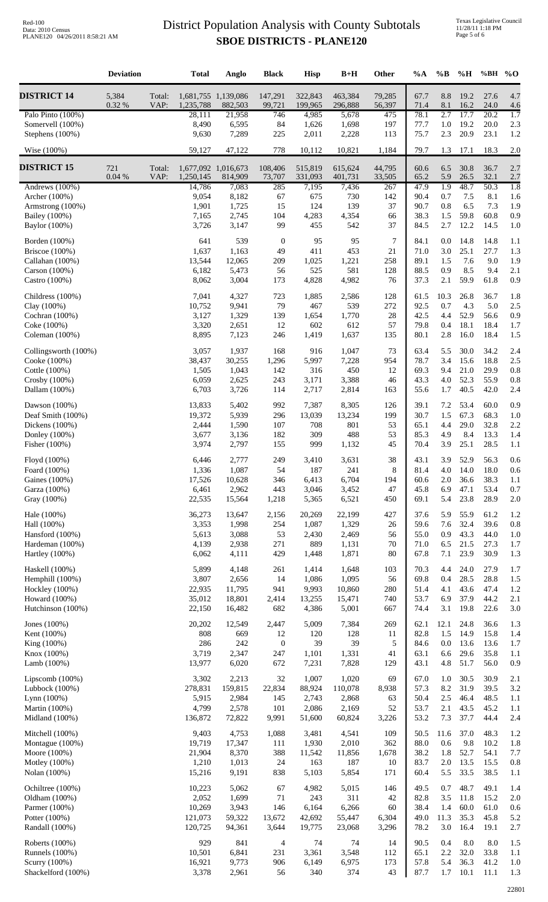|                                                          | <b>Deviation</b> |                | <b>Total</b>                     | Anglo                    | <b>Black</b>            | <b>Hisp</b>             | $B+H$                   | Other             | $\%A$                | $\%$ B            | $\%$ H                   | %BH % $O$            |                   |
|----------------------------------------------------------|------------------|----------------|----------------------------------|--------------------------|-------------------------|-------------------------|-------------------------|-------------------|----------------------|-------------------|--------------------------|----------------------|-------------------|
| <b>DISTRICT 14</b>                                       | 5,384<br>0.32 %  | Total:<br>VAP: | 1,681,755 1,139,086<br>1,235,788 | 882,503                  | 147,291<br>99,721       | 322,843<br>199,965      | 463,384<br>296,888      | 79,285<br>56,397  | 67.7<br>71.4         | 8.8<br>8.1        | 19.2<br>16.2             | 27.6<br>24.0         | 4.7<br>4.6        |
| Palo Pinto (100%)<br>Somervell (100%)<br>Stephens (100%) |                  |                | 28,111<br>8,490<br>9,630         | 21,958<br>6,595<br>7,289 | 746<br>84<br>225        | 4,985<br>1,626<br>2,011 | 5,678<br>1,698<br>2,228 | 475<br>197<br>113 | 78.1<br>77.7<br>75.7 | 2.7<br>1.0<br>2.3 | 17.7<br>19.2<br>20.9     | 20.2<br>20.0<br>23.1 | 1.7<br>2.3<br>1.2 |
| Wise $(100\%)$                                           |                  |                | 59,127                           | 47,122                   | 778                     | 10,112                  | 10,821                  | 1,184             | 79.7                 | 1.3               | 17.1                     | 18.3                 | 2.0               |
| <b>DISTRICT 15</b>                                       | 721              | Total:         | 1,677,092 1,016,673              |                          | 108,406                 | 515,819                 | 615,624                 | 44,795            | 60.6                 | 6.5               | 30.8                     | 36.7                 | 2.7               |
| Andrews $(100\%)$                                        | $0.04~\%$        | VAP:           | 1,250,145<br>14,786              | 814,909<br>7,083         | 73,707<br>285           | 331,093<br>7,195        | 401,731<br>7,436        | 33,505<br>267     | 65.2<br>47.9         | 5.9<br>1.9        | 26.5<br>48.7             | 32.1<br>50.3         | 2.7<br>1.8        |
| Archer (100%)                                            |                  |                | 9,054                            | 8,182                    | 67                      | 675                     | 730                     | 142               | 90.4                 | 0.7               | 7.5                      | 8.1                  | 1.6               |
| Armstrong (100%)                                         |                  |                | 1,901<br>7,165                   | 1,725<br>2,745           | 15<br>104               | 124<br>4,283            | 139                     | 37                | 90.7<br>38.3         | $0.8\,$<br>1.5    | 6.5<br>59.8              | 7.3<br>60.8          | 1.9               |
| Bailey (100%)<br>Baylor (100%)                           |                  |                | 3,726                            | 3,147                    | 99                      | 455                     | 4,354<br>542            | 66<br>37          | 84.5                 | 2.7               | 12.2                     | 14.5                 | 0.9<br>1.0        |
| Borden (100%)                                            |                  |                | 641                              | 539                      | $\boldsymbol{0}$        | 95                      | 95                      | 7                 | 84.1                 | 0.0               | 14.8                     | 14.8                 | 1.1               |
| Briscoe $(100%)$                                         |                  |                | 1,637                            | 1,163                    | 49                      | 411                     | 453                     | 21                | 71.0                 | 3.0               | 25.1                     | 27.7                 | 1.3               |
| Callahan (100%)                                          |                  |                | 13,544                           | 12,065                   | 209                     | 1,025                   | 1,221                   | 258               | 89.1                 | 1.5               | 7.6                      | 9.0                  | 1.9               |
| Carson (100%)<br>Castro (100%)                           |                  |                | 6,182<br>8,062                   | 5,473<br>3,004           | 56<br>173               | 525<br>4,828            | 581<br>4,982            | 128<br>76         | 88.5<br>37.3         | 0.9<br>2.1        | 8.5<br>59.9              | 9.4<br>61.8          | 2.1<br>0.9        |
| Childress (100%)                                         |                  |                | 7,041                            | 4,327                    | 723                     | 1,885                   | 2,586                   | 128               | 61.5                 | 10.3              | 26.8                     | 36.7                 | 1.8               |
| Clay (100%)                                              |                  |                | 10,752                           | 9,941                    | 79                      | 467                     | 539                     | 272               | 92.5                 | 0.7               | 4.3                      | 5.0                  | 2.5               |
| Cochran $(100%)$                                         |                  |                | 3,127                            | 1,329                    | 139                     | 1,654                   | 1,770                   | 28                | 42.5                 | 4.4               | 52.9                     | 56.6                 | 0.9               |
| Coke (100%)<br>Coleman $(100\%)$                         |                  |                | 3,320<br>8,895                   | 2,651<br>7,123           | 12<br>246               | 602<br>1,419            | 612<br>1,637            | 57<br>135         | 79.8<br>80.1         | 0.4<br>2.8        | 18.1<br>16.0             | 18.4<br>18.4         | 1.7<br>1.5        |
| Collingsworth (100%)                                     |                  |                | 3,057                            | 1,937                    | 168                     | 916                     | 1,047                   | 73                | 63.4                 | 5.5               | 30.0                     | 34.2                 | 2.4               |
| Cooke (100%)                                             |                  |                | 38,437                           | 30,255                   | 1,296                   | 5,997                   | 7,228                   | 954               | 78.7                 | 3.4               | 15.6                     | 18.8                 | 2.5               |
| Cottle (100%)                                            |                  |                | 1,505                            | 1,043                    | 142                     | 316                     | 450                     | 12                | 69.3                 | 9.4               | 21.0                     | 29.9                 | 0.8               |
| Crosby $(100\%)$<br>Dallam (100%)                        |                  |                | 6,059<br>6,703                   | 2,625<br>3,726           | 243<br>114              | 3,171<br>2,717          | 3,388<br>2,814          | 46<br>163         | 43.3<br>55.6         | 4.0<br>1.7        | 52.3<br>40.5             | 55.9<br>42.0         | 0.8<br>2.4        |
| Dawson $(100%)$                                          |                  |                | 13,833                           | 5,402                    | 992                     | 7,387                   | 8,305                   | 126               | 39.1                 | 7.2               | 53.4                     | 60.0                 | 0.9               |
| Deaf Smith (100%)                                        |                  |                | 19,372                           | 5,939                    | 296                     | 13,039                  | 13,234                  | 199               | 30.7                 | 1.5               | 67.3                     | 68.3                 | 1.0               |
| Dickens $(100%)$                                         |                  |                | 2,444                            | 1,590                    | 107                     | 708                     | 801                     | 53                | 65.1                 | 4.4               | 29.0                     | 32.8                 | 2.2               |
| Donley (100%)<br>Fisher (100%)                           |                  |                | 3,677<br>3,974                   | 3,136<br>2,797           | 182<br>155              | 309<br>999              | 488<br>1,132            | 53<br>45          | 85.3<br>70.4         | 4.9<br>3.9        | 8.4<br>25.1              | 13.3<br>28.5         | 1.4<br>1.1        |
|                                                          |                  |                |                                  |                          | 249                     |                         | 3,631                   |                   | 43.1                 |                   |                          |                      |                   |
| Floyd (100%)<br>Foard (100%)                             |                  |                | 6,446<br>1,336                   | 2,777<br>1,087           | 54                      | 3,410<br>187            | 241                     | 38<br>8           | 81.4                 | 3.9<br>4.0        | 52.9<br>14.0             | 56.3<br>18.0         | 0.6<br>0.6        |
| Gaines (100%)                                            |                  |                | 17,526                           | 10,628                   | 346                     | 6,413                   | 6,704                   | 194               | 60.6                 | 2.0               | 36.6                     | 38.3                 | 1.1               |
| Garza (100%)<br>Gray (100%)                              |                  |                | 6,461<br>22,535                  | 2,962<br>15,564          | 443<br>1,218            | 3,046<br>5,365          | 3,452<br>6,521          | 47<br>450         | 45.8<br>69.1         | 6.9<br>5.4        | 47.1<br>23.8             | 53.4<br>28.9         | 0.7<br>2.0        |
| Hale (100%)                                              |                  |                | 36,273                           | 13,647                   | 2,156                   | 20,269                  | 22,199                  | 427               | 37.6                 | 5.9               | 55.9                     | 61.2                 | 1.2               |
| Hall (100%)                                              |                  |                | 3,353                            | 1,998                    | 254                     | 1,087                   | 1,329                   | 26                | 59.6                 | 7.6               | 32.4                     | 39.6                 | 0.8               |
| Hansford (100%)                                          |                  |                | 5,613                            | 3,088                    | 53                      | 2,430                   | 2,469                   | 56                | 55.0                 | 0.9               | 43.3                     | 44.0                 | 1.0               |
| Hardeman (100%)<br>Hartley (100%)                        |                  |                | 4,139<br>6,062                   | 2,938<br>4,111           | 271<br>429              | 889<br>1,448            | 1,131<br>1,871          | 70<br>80          | 71.0<br>67.8         | 6.5<br>7.1        | 21.5<br>23.9             | 27.3<br>30.9         | 1.7<br>1.3        |
| Haskell (100%)                                           |                  |                | 5,899                            | 4,148                    | 261                     | 1,414                   | 1,648                   | 103               | 70.3                 | 4.4               | 24.0                     | 27.9                 | 1.7               |
| Hemphill (100%)                                          |                  |                | 3,807                            | 2,656                    | 14                      | 1,086                   | 1,095                   | 56                | 69.8                 | 0.4               | 28.5                     | 28.8                 | 1.5               |
| Hockley (100%)<br>Howard (100%)                          |                  |                | 22,935<br>35,012                 | 11,795<br>18,801         | 941                     | 9,993<br>13,255         | 10,860<br>15,471        | 280<br>740        | 51.4<br>53.7         | 4.1<br>6.9        | 43.6<br>37.9             | 47.4<br>44.2         | 1.2<br>2.1        |
| Hutchinson (100%)                                        |                  |                | 22,150                           | 16,482                   | 2,414<br>682            | 4,386                   | 5,001                   | 667               | 74.4                 | 3.1               | 19.8                     | 22.6                 | 3.0               |
| Jones (100%)                                             |                  |                | 20,202                           | 12,549                   | 2,447                   | 5,009                   | 7,384                   | 269               | 62.1                 | 12.1              | 24.8                     | 36.6                 | 1.3               |
| Kent (100%)                                              |                  |                | 808                              | 669                      | 12                      | 120                     | 128                     | 11                | 82.8                 | 1.5               | 14.9                     | 15.8                 | 1.4               |
| King (100%)                                              |                  |                | 286<br>3,719                     | 242<br>2,347             | $\boldsymbol{0}$<br>247 | 39<br>1,101             | 39<br>1,331             | 5<br>41           | 84.6<br>63.1         | 0.0<br>6.6        | 13.6<br>29.6             | 13.6<br>35.8         | 1.7               |
| Knox (100%)<br>Lamb $(100%)$                             |                  |                | 13,977                           | 6,020                    | 672                     | 7,231                   | 7,828                   | 129               | 43.1                 | 4.8               | 51.7                     | 56.0                 | 1.1<br>0.9        |
| Lipscomb $(100%)$                                        |                  |                | 3,302                            | 2,213                    | 32                      | 1,007                   | 1,020                   | 69                | 67.0                 | 1.0               | 30.5                     | 30.9                 | 2.1               |
| Lubbock $(100\%)$                                        |                  |                | 278,831                          | 159,815                  | 22,834                  | 88,924                  | 110,078                 | 8,938             | 57.3                 | 8.2               | 31.9                     | 39.5                 | 3.2               |
| Lynn $(100%)$                                            |                  |                | 5,915<br>4,799                   | 2,984<br>2,578           | 145                     | 2,743<br>2,086          | 2,868                   | 63                | 50.4                 | $2.5\,$           | 46.4                     | 48.5                 | 1.1               |
| Martin (100%)<br>Midland (100%)                          |                  |                | 136,872                          | 72,822                   | 101<br>9,991            | 51,600                  | 2,169<br>60,824         | 52<br>3,226       | 53.7<br>53.2         | 2.1<br>7.3        | 43.5<br>37.7             | 45.2<br>44.4         | 1.1<br>2.4        |
| Mitchell (100%)                                          |                  |                | 9,403                            | 4,753                    | 1,088                   | 3,481                   | 4,541                   | 109               | 50.5                 | 11.6              | 37.0                     | 48.3                 | 1.2               |
| Montague (100%)                                          |                  |                | 19,719                           | 17,347                   | 111                     | 1,930                   | 2,010                   | 362               | 88.0                 | 0.6               | 9.8                      | 10.2                 | 1.8               |
| Moore $(100\%)$<br>Motley (100%)                         |                  |                | 21,904<br>1,210                  | 8,370<br>1,013           | 388<br>24               | 11,542<br>163           | 11,856<br>187           | 1,678<br>10       | 38.2<br>83.7         | 1.8<br>$2.0\,$    | 52.7<br>13.5             | 54.1<br>15.5         | 7.7<br>0.8        |
| Nolan (100%)                                             |                  |                | 15,216                           | 9,191                    | 838                     | 5,103                   | 5,854                   | 171               | 60.4                 | 5.5               | 33.5                     | 38.5                 | 1.1               |
| Ochiltree (100%)                                         |                  |                | 10,223                           | 5,062                    | 67                      | 4,982                   | 5,015                   | 146               | 49.5                 | 0.7               | 48.7                     | 49.1                 | 1.4               |
| Oldham (100%)                                            |                  |                | 2,052                            | 1,699                    | 71                      | 243                     | 311                     | 42                | 82.8                 | 3.5               | 11.8                     | 15.2                 | 2.0               |
| Parmer (100%)<br>Potter (100%)                           |                  |                | 10,269<br>121,073                | 3,943<br>59,322          | 146<br>13,672           | 6,164<br>42,692         | 6,266<br>55,447         | 60<br>6,304       | 38.4<br>49.0         | 1.4<br>11.3       | 60.0<br>35.3             | 61.0<br>45.8         | 0.6<br>5.2        |
| Randall (100%)                                           |                  |                | 120,725                          | 94,361                   | 3,644                   | 19,775                  | 23,068                  | 3,296             | 78.2                 | 3.0               | 16.4                     | 19.1                 | 2.7               |
| Roberts (100%)                                           |                  |                | 929                              | 841                      | $\overline{4}$          | 74                      | 74                      | 14                | 90.5                 | 0.4               | 8.0                      | $\ \, 8.0$           | 1.5               |
| <b>Runnels</b> (100%)                                    |                  |                | 10,501                           | 6,841                    | 231                     | 3,361                   | 3,548                   | 112               | 65.1                 | 2.2               | 32.0                     | 33.8                 | 1.1               |
| Scurry (100%)<br>Shackelford (100%)                      |                  |                | 16,921<br>3,378                  | 9,773<br>2,961           | 906<br>56               | 6,149<br>340            | 6,975<br>374            | 173<br>43         | 57.8<br>87.7         | 5.4               | 36.3<br>$1.7 \quad 10.1$ | 41.2<br>11.1         | 1.0<br>1.3        |
|                                                          |                  |                |                                  |                          |                         |                         |                         |                   |                      |                   |                          |                      |                   |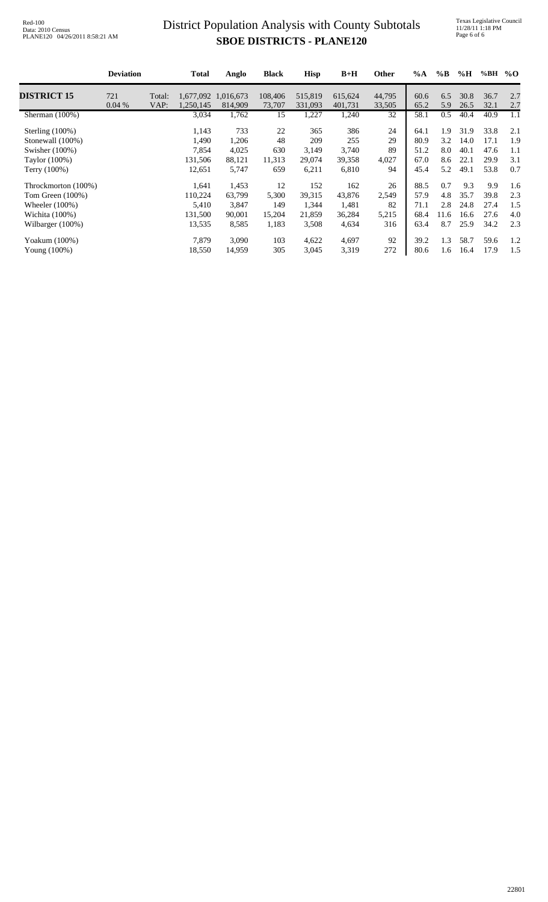### **SBOE DISTRICTS - PLANE120** District Population Analysis with County Subtotals

Texas Legislative Council 11/28/11 1:18 PM Page 6 of 6

|                     | <b>Deviation</b> |        | <b>Total</b> | Anglo     | <b>Black</b> | <b>Hisp</b> | $B+H$   | Other  | $\%A$ | $\%$ B | %H   | %BH  | $\%$ O |
|---------------------|------------------|--------|--------------|-----------|--------------|-------------|---------|--------|-------|--------|------|------|--------|
| <b>DISTRICT 15</b>  | 721              | Total: | 1,677,092    | 1,016,673 | 108,406      | 515,819     | 615,624 | 44,795 | 60.6  | 6.5    | 30.8 | 36.7 | 2.7    |
|                     | 0.04%            | VAP:   | 1,250,145    | 814,909   | 73,707       | 331,093     | 401,731 | 33,505 | 65.2  | 5.9    | 26.5 | 32.1 | 2.7    |
| Sherman (100%)      |                  |        | 3,034        | 1,762     | 15           | 1,227       | 1,240   | 32     | 58.1  | 0.5    | 40.4 | 40.9 | 1.1    |
| Sterling $(100\%)$  |                  |        | 1,143        | 733       | 22           | 365         | 386     | 24     | 64.1  | 1.9    | 31.9 | 33.8 | 2.1    |
| Stonewall (100%)    |                  |        | 1,490        | 1,206     | 48           | 209         | 255     | 29     | 80.9  | 3.2    | 14.0 | 17.1 | 1.9    |
| Swisher (100%)      |                  |        | 7,854        | 4,025     | 630          | 3,149       | 3,740   | 89     | 51.2  | 8.0    | 40.1 | 47.6 | 1.1    |
| Taylor (100%)       |                  |        | 131,506      | 88,121    | 11,313       | 29,074      | 39,358  | 4,027  | 67.0  | 8.6    | 22.1 | 29.9 | 3.1    |
| Terry (100%)        |                  |        | 12,651       | 5,747     | 659          | 6,211       | 6,810   | 94     | 45.4  | 5.2    | 49.1 | 53.8 | 0.7    |
| Throckmorton (100%) |                  |        | 1,641        | 1,453     | 12           | 152         | 162     | 26     | 88.5  | 0.7    | 9.3  | 9.9  | 1.6    |
| Tom Green (100%)    |                  |        | 110,224      | 63,799    | 5,300        | 39,315      | 43,876  | 2,549  | 57.9  | 4.8    | 35.7 | 39.8 | 2.3    |
| Wheeler $(100\%)$   |                  |        | 5,410        | 3,847     | 149          | 1,344       | 1,481   | 82     | 71.1  | 2.8    | 24.8 | 27.4 | 1.5    |
| Wichita $(100\%)$   |                  |        | 131,500      | 90,001    | 15,204       | 21,859      | 36,284  | 5,215  | 68.4  | 11.6   | 16.6 | 27.6 | 4.0    |
| Wilbarger (100%)    |                  |        | 13,535       | 8,585     | 1,183        | 3,508       | 4,634   | 316    | 63.4  | 8.7    | 25.9 | 34.2 | 2.3    |
| Yoakum (100%)       |                  |        | 7,879        | 3,090     | 103          | 4,622       | 4,697   | 92     | 39.2  | 1.3    | 58.7 | 59.6 | 1.2    |
| Young $(100\%)$     |                  |        | 18,550       | 14,959    | 305          | 3,045       | 3,319   | 272    | 80.6  | 1.6    | 16.4 | 17.9 | 1.5    |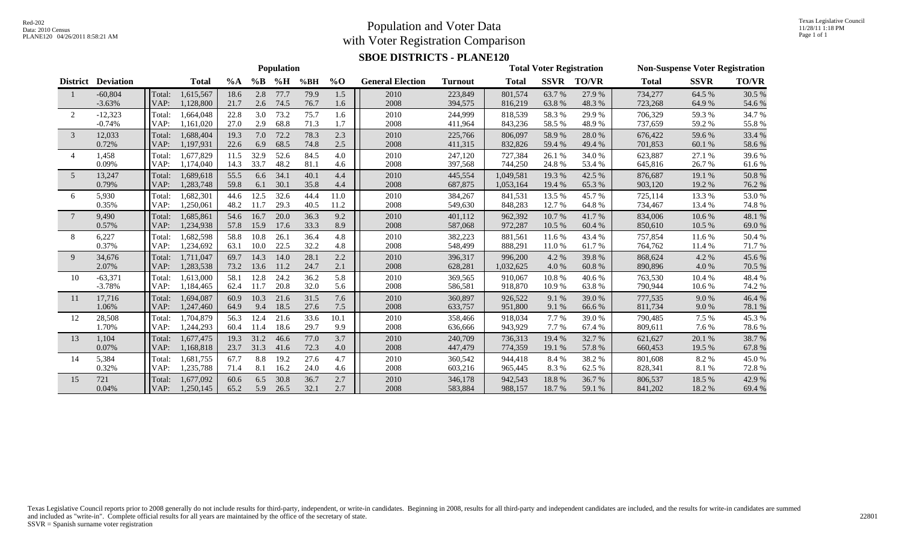#### Population and Voter Data with Voter Registration Comparison

Texas Legislative Council 11/28/11 1:18 PM Page 1 of 1

#### **SBOE DISTRICTS - PLANE120**

|                |                           |        | <b>Population</b> |       |       |      |      |         |                         |                |              |             | <b>Total Voter Registration</b> |              | <b>Non-Suspense Voter Registration</b> |              |  |  |
|----------------|---------------------------|--------|-------------------|-------|-------|------|------|---------|-------------------------|----------------|--------------|-------------|---------------------------------|--------------|----------------------------------------|--------------|--|--|
|                | <b>District Deviation</b> |        | <b>Total</b>      | $\%A$ | $\%B$ | %H   | %BH  | $\%$ O  | <b>General Election</b> | <b>Turnout</b> | <b>Total</b> | <b>SSVR</b> | <b>TO/VR</b>                    | <b>Total</b> | <b>SSVR</b>                            | <b>TO/VR</b> |  |  |
|                | $-60,804$                 | Total: | 1,615,567         | 18.6  | 2.8   | 77.7 | 79.9 | 1.5     | 2010                    | 223,849        | 801,574      | 63.7%       | 27.9%                           | 734,277      | 64.5 %                                 | 30.5 %       |  |  |
|                | $-3.63%$                  | VAP:   | 1,128,800         | 21.7  | 2.6   | 74.5 | 76.7 | 1.6     | 2008                    | 394,575        | 816,219      | 63.8%       | 48.3%                           | 723,268      | 64.9%                                  | 54.6 %       |  |  |
| 2              | $-12,323$                 | Total: | 1,664,048         | 22.8  | 3.0   | 73.2 | 75.7 | 1.6     | 2010                    | 244,999        | 818,539      | 58.3%       | 29.9%                           | 706,329      | 59.3%                                  | 34.7%        |  |  |
|                | $-0.74%$                  | VAP:   | 1,161,020         | 27.0  | 2.9   | 68.8 | 71.3 | 1.7     | 2008                    | 411,964        | 843,236      | 58.5%       | 48.9%                           | 737,659      | 59.2%                                  | 55.8%        |  |  |
| 3              | 12,033                    | Total: | 1,688,404         | 19.3  | 7.0   | 72.2 | 78.3 | 2.3     | 2010                    | 225,766        | 806,097      | 58.9%       | 28.0%                           | 676,422      | 59.6%                                  | 33.4 %       |  |  |
|                | 0.72%                     | VAP:   | 1,197,931         | 22.6  | 6.9   | 68.5 | 74.8 | $2.5\,$ | 2008                    | 411,315        | 832,826      | 59.4 %      | 49.4 %                          | 701,853      | 60.1%                                  | 58.6%        |  |  |
| $\overline{4}$ | 1,458                     | Total: | 1.677.829         | 11.5  | 32.9  | 52.6 | 84.5 | 4.0     | 2010                    | 247,120        | 727,384      | 26.1%       | 34.0%                           | 623,887      | 27.1 %                                 | 39.6%        |  |  |
|                | 0.09%                     | VAP:   | 1,174,040         | 14.3  | 33.7  | 48.2 | 81.1 | 4.6     | 2008                    | 397,568        | 744,250      | 24.8%       | 53.4 %                          | 645,816      | 26.7%                                  | 61.6%        |  |  |
| 5              | 13,247                    | Total: | 1,689,618         | 55.5  | 6.6   | 34.1 | 40.1 | 4.4     | 2010                    | 445,554        | 1,049,581    | 19.3 %      | 42.5 %                          | 876,687      | 19.1 %                                 | 50.8%        |  |  |
|                | 0.79%                     | VAP:   | 1,283,748         | 59.8  | 6.1   | 30.1 | 35.8 | 4.4     | 2008                    | 687,875        | 1,053,164    | 19.4 %      | 65.3%                           | 903,120      | 19.2 %                                 | 76.2%        |  |  |
| 6              | 5,930                     | Total: | 1,682,301         | 44.6  | 12.5  | 32.6 | 44.4 | 11.0    | 2010                    | 384,267        | 841,531      | 13.5 %      | 45.7%                           | 725,114      | 13.3 %                                 | 53.0%        |  |  |
|                | 0.35%                     | VAP:   | 1,250,061         | 48.2  | 11.7  | 29.3 | 40.5 | 11.2    | 2008                    | 549,630        | 848,283      | 12.7%       | 64.8%                           | 734,467      | 13.4 %                                 | 74.8 %       |  |  |
| 7              | 9,490                     | Total: | 1,685,861         | 54.6  | 16.7  | 20.0 | 36.3 | 9.2     | 2010                    | 401,112        | 962,392      | 10.7 %      | 41.7%                           | 834,006      | 10.6%                                  | 48.1 %       |  |  |
|                | 0.57%                     | VAP:   | 1,234,938         | 57.8  | 15.9  | 17.6 | 33.3 | 8.9     | 2008                    | 587,068        | 972,287      | 10.5 %      | 60.4 %                          | 850,610      | 10.5 %                                 | 69.0%        |  |  |
| 8              | 6,227                     | Total: | 1,682,598         | 58.8  | 10.8  | 26.1 | 36.4 | 4.8     | 2010                    | 382,223        | 881,561      | 11.6%       | 43.4 %                          | 757,854      | 11.6%                                  | 50.4%        |  |  |
|                | 0.37%                     | VAP:   | 1,234,692         | 63.1  | 10.0  | 22.5 | 32.2 | 4.8     | 2008                    | 548,499        | 888,291      | 11.0 %      | 61.7 %                          | 764,762      | 11.4 %                                 | 71.7 %       |  |  |
| 9              | 34,676                    | Total: | 1,711,047         | 69.7  | 14.3  | 14.0 | 28.1 | 2.2     | 2010                    | 396,317        | 996,200      | 4.2 %       | 39.8%                           | 868,624      | 4.2%                                   | 45.6%        |  |  |
|                | 2.07%                     | VAP:   | 1,283,538         | 73.2  | 13.6  | 11.2 | 24.7 | 2.1     | 2008                    | 628,281        | 1,032,625    | 4.0%        | 60.8%                           | 890,896      | 4.0%                                   | 70.5 %       |  |  |
| 10             | $-63,371$                 | Total: | 1,613,000         | 58.1  | 12.8  | 24.2 | 36.2 | 5.8     | 2010                    | 369,565        | 910,067      | 10.8%       | 40.6%                           | 763,530      | 10.4 %                                 | 48.4%        |  |  |
|                | $-3.78%$                  | VAP:   | 1,184,465         | 62.4  | 11.7  | 20.8 | 32.0 | 5.6     | 2008                    | 586,581        | 918,870      | 10.9%       | 63.8%                           | 790,944      | 10.6 %                                 | 74.2 %       |  |  |
| 11             | 17,716                    | Total: | 1,694,087         | 60.9  | 10.3  | 21.6 | 31.5 | 7.6     | 2010                    | 360,897        | 926,522      | 9.1 %       | 39.0%                           | 777,535      | 9.0%                                   | 46.4 %       |  |  |
|                | 1.06%                     | VAP:   | 1,247,460         | 64.9  | 9.4   | 18.5 | 27.6 | 7.5     | 2008                    | 633,757        | 951,800      | 9.1 %       | 66.6%                           | 811,734      | 9.0%                                   | 78.1 %       |  |  |
| 12             | 28,508                    | Total: | 1,704,879         | 56.3  | 12.4  | 21.6 | 33.6 | 10.1    | 2010                    | 358,466        | 918,034      | 7.7 %       | 39.0%                           | 790,485      | 7.5 %                                  | 45.3%        |  |  |
|                | 1.70%                     | VAP:   | 1,244,293         | 60.4  | 11.4  | 18.6 | 29.7 | 9.9     | 2008                    | 636,666        | 943,929      | 7.7 %       | 67.4 %                          | 809,611      | 7.6 %                                  | 78.6%        |  |  |
| 13             | 1,104                     | Total: | 1,677,475         | 19.3  | 31.2  | 46.6 | 77.0 | 3.7     | 2010                    | 240,709        | 736,313      | 19.4 %      | 32.7 %                          | 621,627      | 20.1 %                                 | 38.7%        |  |  |
|                | 0.07%                     | VAP:   | 1,168,818         | 23.7  | 31.3  | 41.6 | 72.3 | 4.0     | 2008                    | 447,479        | 774,359      | 19.1 %      | 57.8%                           | 660,453      | 19.5 %                                 | 67.8%        |  |  |
| 14             | 5,384                     | Total: | 1,681,755         | 67.7  | 8.8   | 19.2 | 27.6 | 4.7     | 2010                    | 360,542        | 944,418      | 8.4 %       | 38.2%                           | 801,608      | 8.2%                                   | 45.0%        |  |  |
|                | 0.32%                     | VAP:   | 1,235,788         | 71.4  | 8.1   | 16.2 | 24.0 | 4.6     | 2008                    | 603,216        | 965,445      | 8.3%        | 62.5 %                          | 828,341      | 8.1%                                   | 72.8%        |  |  |
| 15             | 721                       | Total: | 1,677,092         | 60.6  | 6.5   | 30.8 | 36.7 | 2.7     | 2010                    | 346,178        | 942,543      | 18.8%       | 36.7%                           | 806,537      | 18.5 %                                 | 42.9%        |  |  |
|                | 0.04%                     | VAP:   | 1,250,145         | 65.2  | 5.9   | 26.5 | 32.1 | 2.7     | 2008                    | 583,884        | 988,157      | 18.7 %      | 59.1 %                          | 841,202      | 18.2%                                  | 69.4 %       |  |  |

Texas Legislative Council reports prior to 2008 generally do not include results for third-party, independent, or write-in candidates. Beginning in 2008, results for all third-party and independent candidates are included, and included as "write-in". Complete official results for all years are maintained by the office of the secretary of state. SSVR = Spanish surname voter registration